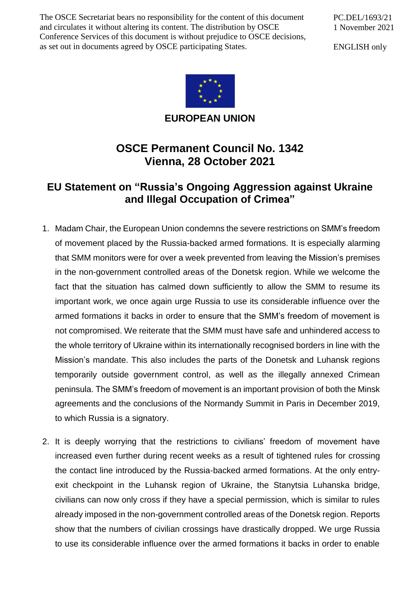The OSCE Secretariat bears no responsibility for the content of this document and circulates it without altering its content. The distribution by OSCE Conference Services of this document is without prejudice to OSCE decisions, as set out in documents agreed by OSCE participating States.

PC.DEL/1693/21 1 November 2021

ENGLISH only



**EUROPEAN UNION**

## **OSCE Permanent Council No. 1342 Vienna, 28 October 2021**

## **EU Statement on "Russia's Ongoing Aggression against Ukraine and Illegal Occupation of Crimea"**

- 1. Madam Chair, the European Union condemns the severe restrictions on SMM's freedom of movement placed by the Russia-backed armed formations. It is especially alarming that SMM monitors were for over a week prevented from leaving the Mission's premises in the non-government controlled areas of the Donetsk region. While we welcome the fact that the situation has calmed down sufficiently to allow the SMM to resume its important work, we once again urge Russia to use its considerable influence over the armed formations it backs in order to ensure that the SMM's freedom of movement is not compromised. We reiterate that the SMM must have safe and unhindered access to the whole territory of Ukraine within its internationally recognised borders in line with the Mission's mandate. This also includes the parts of the Donetsk and Luhansk regions temporarily outside government control, as well as the illegally annexed Crimean peninsula. The SMM's freedom of movement is an important provision of both the Minsk agreements and the conclusions of the Normandy Summit in Paris in December 2019, to which Russia is a signatory.
- 2. It is deeply worrying that the restrictions to civilians' freedom of movement have increased even further during recent weeks as a result of tightened rules for crossing the contact line introduced by the Russia-backed armed formations. At the only entryexit checkpoint in the Luhansk region of Ukraine, the Stanytsia Luhanska bridge, civilians can now only cross if they have a special permission, which is similar to rules already imposed in the non-government controlled areas of the Donetsk region. Reports show that the numbers of civilian crossings have drastically dropped. We urge Russia to use its considerable influence over the armed formations it backs in order to enable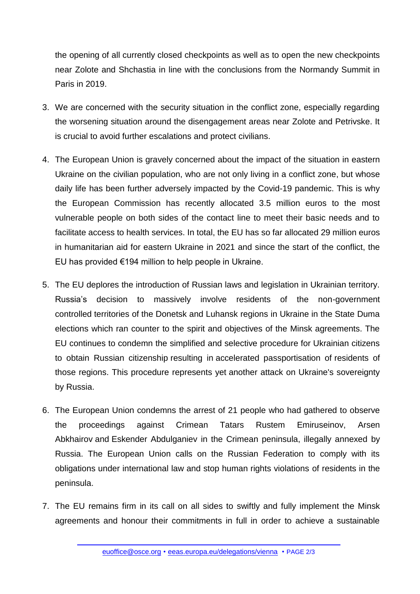the opening of all currently closed checkpoints as well as to open the new checkpoints near Zolote and Shchastia in line with the conclusions from the Normandy Summit in Paris in 2019.

- 3. We are concerned with the security situation in the conflict zone, especially regarding the worsening situation around the disengagement areas near Zolote and Petrivske. It is crucial to avoid further escalations and protect civilians.
- 4. The European Union is gravely concerned about the impact of the situation in eastern Ukraine on the civilian population, who are not only living in a conflict zone, but whose daily life has been further adversely impacted by the Covid-19 pandemic. This is why the European Commission has recently allocated 3.5 million euros to the most vulnerable people on both sides of the contact line to meet their basic needs and to facilitate access to health services. In total, the EU has so far allocated 29 million euros in humanitarian aid for eastern Ukraine in 2021 and since the start of the conflict, the EU has provided €194 million to help people in Ukraine.
- 5. The EU deplores the introduction of Russian laws and legislation in Ukrainian territory. Russia's decision to massively involve residents of the non-government controlled territories of the Donetsk and Luhansk regions in Ukraine in the State Duma elections which ran counter to the spirit and objectives of the Minsk agreements. The EU continues to condemn the simplified and selective procedure for Ukrainian citizens to obtain Russian citizenship resulting in accelerated passportisation of residents of those regions. This procedure represents yet another attack on Ukraine's sovereignty by Russia.
- 6. The European Union condemns the arrest of 21 people who had gathered to observe the proceedings against Crimean Tatars Rustem Emiruseinov, Arsen Abkhairov and Eskender Abdulganiev in the Crimean peninsula, illegally annexed by Russia. The European Union calls on the Russian Federation to comply with its obligations under international law and stop human rights violations of residents in the peninsula.
- 7. The EU remains firm in its call on all sides to swiftly and fully implement the Minsk agreements and honour their commitments in full in order to achieve a sustainable

[euoffice@osce.org](mailto:euoffice@osce.org) • [eeas.europa.eu/delegations/vienna](http://eeas.europa.eu/delegations/vienna) • PAGE 2/3